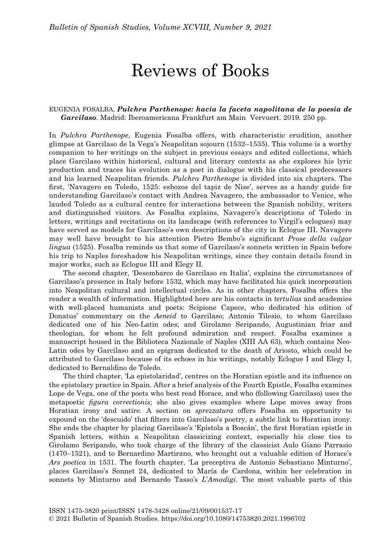## Reviews of Books

## EUGENIA FOSALBA, Pulchra Parthenope: hacia la faceta napolitana de la poesía de Garcilaso. Madrid: Iberoamericana Frankfurt am Main Vervuert. 2019. 250 pp.

In Pulchra Parthenope, Eugenia Fosalba offers, with characteristic erudition, another glimpse at Garcilaso de la Vega's Neapolitan sojourn (1532–1535). This volume is a worthy companion to her writings on the subject in previous essays and edited collections, which place Garcilaso within historical, cultural and literary contexts as she explores his lyric production and traces his evolution as a poet in dialogue with his classical predecessors and his learned Neapolitan friends. Pulchra Parthenope is divided into six chapters. The first, 'Navagero en Toledo, 1525: esbozos del tapiz de Nise', serves as a handy guide for understanding Garcilaso's contact with Andrea Navagero, the ambassador to Venice, who lauded Toledo as a cultural centre for interactions between the Spanish nobility, writers and distinguished visitors. As Fosalba explains, Navagero's descriptions of Toledo in letters, writings and recitations on its landscape (with references to Virgil's eclogues) may have served as models for Garcilaso's own descriptions of the city in Eclogue III. Navagero may well have brought to his attention Pietro Bembo's significant Prose della vulgar lingua (1525). Fosalba reminds us that some of Garcilaso's sonnets written in Spain before his trip to Naples foreshadow his Neapolitan writings, since they contain details found in major works, such as Eclogue III and Elegy II.

The second chapter, 'Desembarco de Garcilaso en Italia', explains the circumstances of Garcilaso's presence in Italy before 1532, which may have facilitated his quick incorporation into Neapolitan cultural and intellectual circles. As in other chapters, Fosalba offers the reader a wealth of information. Highlighted here are his contacts in *tertulias* and academies with well-placed humanists and poets: Scipione Capece, who dedicated his edition of Donatus' commentary on the Aeneid to Garcilaso; Antonio Tilesio, to whom Garcilaso dedicated one of his Neo-Latin odes; and Girolamo Seripando, Augustinian friar and theologian, for whom he felt profound admiration and respect. Fosalba examines a manuscript housed in the Biblioteca Nazionale of Naples (XIII AA 63), which contains Neo-Latin odes by Garcilaso and an epigram dedicated to the death of Ariosto, which could be attributed to Garcilaso because of its echoes in his writings, notably Eclogue I and Elegy I, dedicated to Bernaldino de Toledo.

The third chapter, 'La epistolaridad', centres on the Horatian epistle and its influence on the epistolary practice in Spain. After a brief analysis of the Fourth Epistle, Fosalba examines Lope de Vega, one of the poets who best read Horace, and who (following Garcilaso) uses the metapoetic figura correctionis; she also gives examples where Lope moves away from Horatian irony and satire. A section on sprezzatura offers Fosalba an opportunity to expound on the 'descuido' that filters into Garcilaso's poetry, a subtle link to Horatian irony. She ends the chapter by placing Garcilaso's 'Epístola a Boscán', the first Horatian epistle in Spanish letters, within a Neapolitan classicizing context, especially his close ties to Girolamo Seripando, who took charge of the library of the classicist Aulo Giano Parrasio (1470–1521), and to Bernardino Martirano, who brought out a valuable edition of Horace's Ars poetica in 1531. The fourth chapter, 'La preceptiva de Antonio Sebastiano Minturno', places Garcilaso's Sonnet 24, dedicated to María de Cardona, within her celebration in sonnets by Minturno and Bernardo Tasso's L'Amadigi. The most valuable parts of this